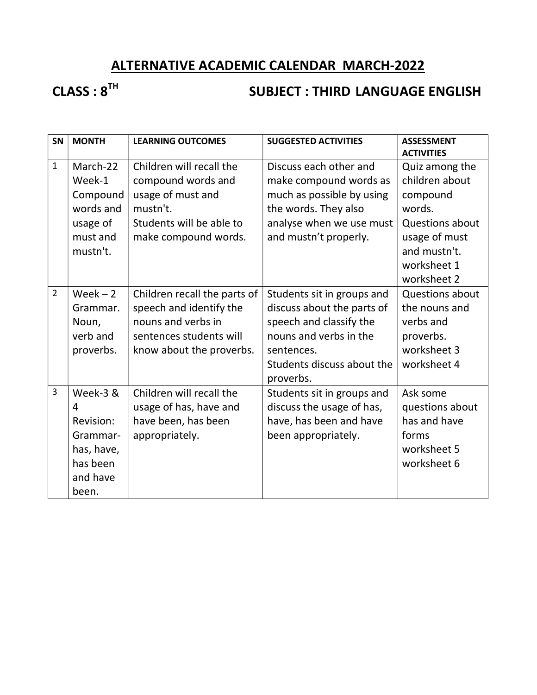# ALTERNATIVE ACADEMIC CALENDAR MARCH-2022

# CLASS : 8<sup>TH</sup> SUBJECT : THIRD LANGUAGE ENGLISH

| SN             | <b>MONTH</b>                                                                          | <b>LEARNING OUTCOMES</b>                                                                                                             | <b>SUGGESTED ACTIVITIES</b>                                                                                                                                            | <b>ASSESSMENT</b>                                                                                                               |
|----------------|---------------------------------------------------------------------------------------|--------------------------------------------------------------------------------------------------------------------------------------|------------------------------------------------------------------------------------------------------------------------------------------------------------------------|---------------------------------------------------------------------------------------------------------------------------------|
| $\mathbf{1}$   | March-22<br>Week-1<br>Compound<br>words and<br>usage of<br>must and<br>mustn't.       | Children will recall the<br>compound words and<br>usage of must and<br>mustn't.<br>Students will be able to<br>make compound words.  | Discuss each other and<br>make compound words as<br>much as possible by using<br>the words. They also<br>analyse when we use must<br>and mustn't properly.             | <b>ACTIVITIES</b><br>Quiz among the<br>children about<br>compound<br>words.<br>Questions about<br>usage of must<br>and mustn't. |
|                |                                                                                       |                                                                                                                                      |                                                                                                                                                                        | worksheet 1<br>worksheet 2                                                                                                      |
| $\overline{2}$ | $Week - 2$<br>Grammar.<br>Noun,<br>verb and<br>proverbs.                              | Children recall the parts of<br>speech and identify the<br>nouns and verbs in<br>sentences students will<br>know about the proverbs. | Students sit in groups and<br>discuss about the parts of<br>speech and classify the<br>nouns and verbs in the<br>sentences.<br>Students discuss about the<br>proverbs. | <b>Questions about</b><br>the nouns and<br>verbs and<br>proverbs.<br>worksheet 3<br>worksheet 4                                 |
| 3              | Week-3 &<br>4<br>Revision:<br>Grammar-<br>has, have,<br>has been<br>and have<br>been. | Children will recall the<br>usage of has, have and<br>have been, has been<br>appropriately.                                          | Students sit in groups and<br>discuss the usage of has,<br>have, has been and have<br>been appropriately.                                                              | Ask some<br>questions about<br>has and have<br>forms<br>worksheet 5<br>worksheet 6                                              |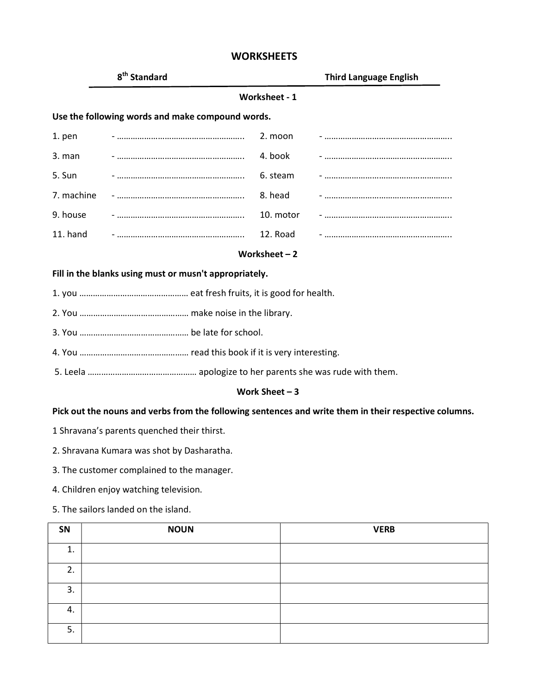# 8<sup>th</sup> Standard Third Language English Worksheet - 1 Use the following words and make compound words. 1. pen - ……………………………………………….. 2. moon - ……………………………………………….. 3. man - ……………………………………………….. 4. book - ……………………………………………….. 5. Sun - ……………………………………………….. 6. steam - ……………………………………………….. 7. machine - ……………………………………………….. 8. head - ……………………………………………….. 9. house - ……………………………………………….. 10. motor - ……………………………………………….. 11. hand - ……………………………………………….. 12. Road - ……………………………………………….. Worksheet – 2 Fill in the blanks using must or musn't appropriately.

- 1. you ………………………………………… eat fresh fruits, it is good for health.
- 2. You ………………………………………… make noise in the library.
- 3. You ………………………………………… be late for school.
- 4. You ………………………………………… read this book if it is very interesting.
- 5. Leela ………………………………………… apologize to her parents she was rude with them.

### Work Sheet – 3

# Pick out the nouns and verbs from the following sentences and write them in their respective columns.

- 1 Shravana's parents quenched their thirst.
- 2. Shravana Kumara was shot by Dasharatha.
- 3. The customer complained to the manager.
- 4. Children enjoy watching television.
- 5. The sailors landed on the island.

| SN | <b>NOUN</b> | <b>VERB</b> |
|----|-------------|-------------|
| 1. |             |             |
| 2. |             |             |
| 3. |             |             |
| 4. |             |             |
| 5. |             |             |

# **WORKSHEETS**